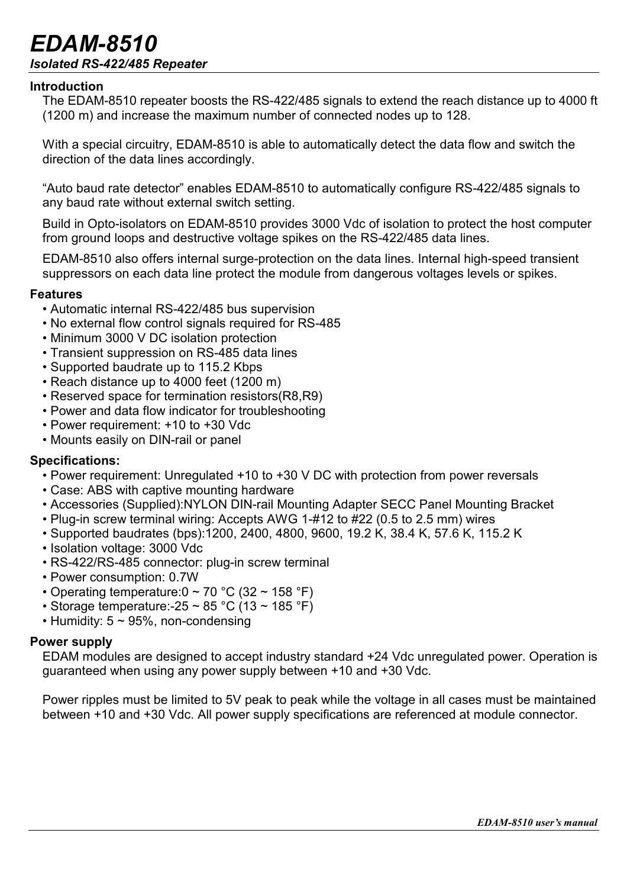# *EDAM-8510 Isolated RS-422/485 Repeater*

## **Introduction**

The EDAM-8510 repeater boosts the RS-422/485 signals to extend the reach distance up to 4000 ft (1200 m) and increase the maximum number of connected nodes up to 128.

With a special circuitry, EDAM-8510 is able to automatically detect the data flow and switch the direction of the data lines accordingly.

"Auto baud rate detector" enables EDAM-8510 to automatically configure RS-422/485 signals to any baud rate without external switch setting.

Build in Opto-isolators on EDAM-8510 provides 3000 Vdc of isolation to protect the host computer from ground loops and destructive voltage spikes on the RS-422/485 data lines.

EDAM-8510 also offers internal surge-protection on the data lines. Internal high-speed transient suppressors on each data line protect the module from dangerous voltages levels or spikes.

## **Features**

- Automatic internal RS-422/485 bus supervision
- No external flow control signals required for RS-485
- Minimum 3000 V DC isolation protection
- Transient suppression on RS-485 data lines
- Supported baudrate up to 115.2 Kbps
- Reach distance up to 4000 feet (1200 m)
- Reserved space for termination resistors(R8,R9)
- Power and data flow indicator for troubleshooting
- Power requirement: +10 to +30 Vdc
- Mounts easily on DIN-rail or panel

## **Specifications:**

- Power requirement: Unregulated +10 to +30 V DC with protection from power reversals
- Case: ABS with captive mounting hardware
- Accessories (Supplied):NYLON DIN-rail Mounting Adapter SECC Panel Mounting Bracket
- Plug-in screw terminal wiring: Accepts AWG 1-#12 to #22 (0.5 to 2.5 mm) wires
- Supported baudrates (bps):1200, 2400, 4800, 9600, 19.2 K, 38.4 K, 57.6 K, 115.2 K
- Isolation voltage: 3000 Vdc
- RS-422/RS-485 connector: plug-in screw terminal
- Power consumption: 0.7W
- Operating temperature:  $0 \sim 70$  °C (32  $\sim$  158 °F)
- Storage temperature: -25  $\sim$  85 °C (13  $\sim$  185 °F)
- Humidity:  $5 \sim 95\%$ , non-condensing

#### **Power supply**

EDAM modules are designed to accept industry standard +24 Vdc unregulated power. Operation is guaranteed when using any power supply between +10 and +30 Vdc.

Power ripples must be limited to 5V peak to peak while the voltage in all cases must be maintained between +10 and +30 Vdc. All power supply specifications are referenced at module connector.